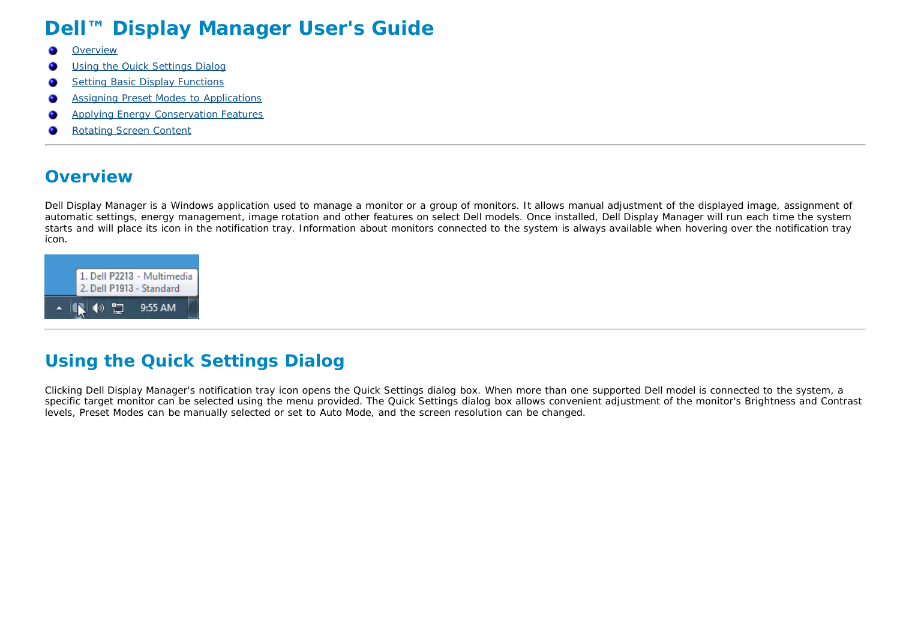# **Dell™ Display Manager User's Guide**

- G. **Overview**
- Using the Quick Settings Dialog
- **Setting Basic Display Functions** o
- Assigning Preset Modes to Applications o
- Applying Energy Conservation Features
- Rotating Screen Content

#### **Overview**

Dell Display Manager is a Windows application used to manage a monitor or a group of monitors. It allows manual adjustment of the displayed image, assignment of automatic settings, energy management, image rotation and other features on select Dell models. Once installed, Dell Display Manager will run each time the system starts and will place its icon in the notification tray. Information about monitors connected to the system is always available when hovering over the notification tray icon.



## **Using the Quick Settings Dialog**

Clicking Dell Display Manager's notification tray icon opens the Quick Settings dialog box. When more than one supported Dell model is connected to the system, a specific target monitor can be selected using the menu provided. The Quick Settings dialog box allows convenient adjustment of the monitor's Brightness and Contrast levels, Preset Modes can be manually selected or set to Auto Mode, and the screen resolution can be changed.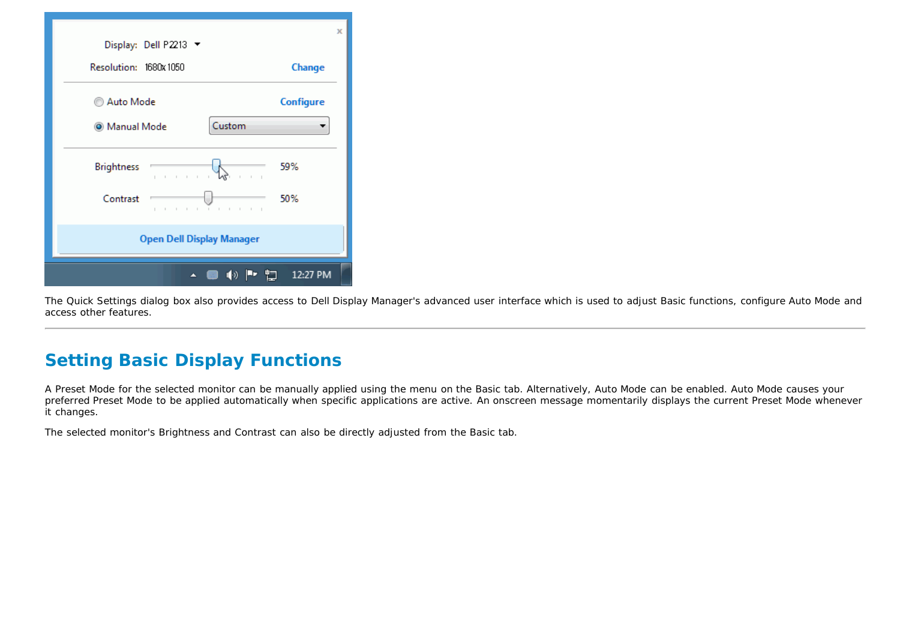| Display: Dell P2213 ▼                                                            | X              |
|----------------------------------------------------------------------------------|----------------|
| Resolution: 1680x 1050                                                           | Change         |
| Auto Mode                                                                        | Configure      |
| Custom<br>@ Manual Mode                                                          |                |
| <b>Brightness</b><br>The Control<br>The Contract of<br>$\mathbf{I} = \mathbf{I}$ | 59%            |
| Contrast<br><b>1. 1. 1. 1. 1. 1. 1.</b><br>$1 - 1 - 1 - 1$                       | 50%            |
| <b>Open Dell Display Manager</b>                                                 |                |
| 1(0)<br>A                                                                        | ۳٦<br>12:27 PM |

The Quick Settings dialog box also provides access to Dell Display Manager's advanced user interface which is used to adjust Basic functions, configure Auto Mode and access other features.

## **Setting Basic Display Functions**

A Preset Mode for the selected monitor can be manually applied using the menu on the Basic tab. Alternatively, Auto Mode can be enabled. Auto Mode causes your preferred Preset Mode to be applied automatically when specific applications are active. An onscreen message momentarily displays the current Preset Mode whenever it changes.

The selected monitor's Brightness and Contrast can also be directly adjusted from the Basic tab.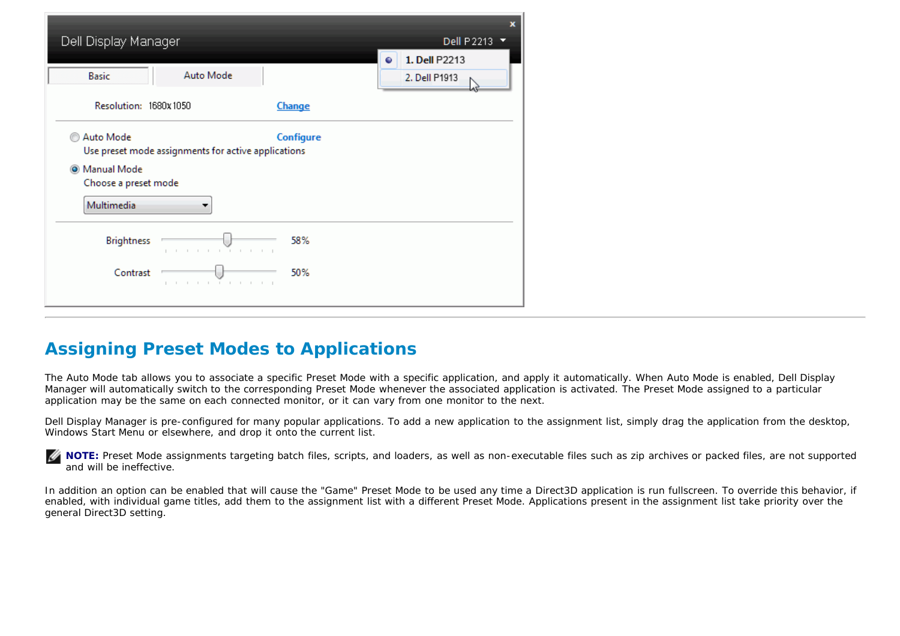| Dell Display Manager<br>Auto Mode<br><b>Basic</b>                                                                                               | x<br>Dell P2213<br>▼<br>1. Dell P2213<br>◒<br>2. Dell P1913 |
|-------------------------------------------------------------------------------------------------------------------------------------------------|-------------------------------------------------------------|
| Resolution: 1680x1050<br><b>Change</b>                                                                                                          |                                                             |
| Auto Mode<br>Configure<br>Use preset mode assignments for active applications<br><sup>O</sup> Manual Mode<br>Choose a preset mode<br>Multimedia |                                                             |
| <b>Brightness</b><br>58%<br>.<br><b>Contract Contract</b>                                                                                       |                                                             |
| Contrast<br>50%<br><b>1</b> 1 1 1 1 1 1 1 1 1 1                                                                                                 |                                                             |

### **Assigning Preset Modes to Applications**

The Auto Mode tab allows you to associate a specific Preset Mode with a specific application, and apply it automatically. When Auto Mode is enabled, Dell Display Manager will automatically switch to the corresponding Preset Mode whenever the associated application is activated. The Preset Mode assigned to a particular application may be the same on each connected monitor, or it can vary from one monitor to the next.

Dell Display Manager is pre-configured for many popular applications. To add a new application to the assignment list, simply drag the application from the desktop, Windows Start Menu or elsewhere, and drop it onto the current list.

**NOTE:** Preset Mode assignments targeting batch files, scripts, and loaders, as well as non-executable files such as zip archives or packed files, are not supported Ø and will be ineffective.

In addition an option can be enabled that will cause the "Game" Preset Mode to be used any time a Direct3D application is run fullscreen. To override this behavior, if enabled, with individual game titles, add them to the assignment list with a different Preset Mode. Applications present in the assignment list take priority over the general Direct3D setting.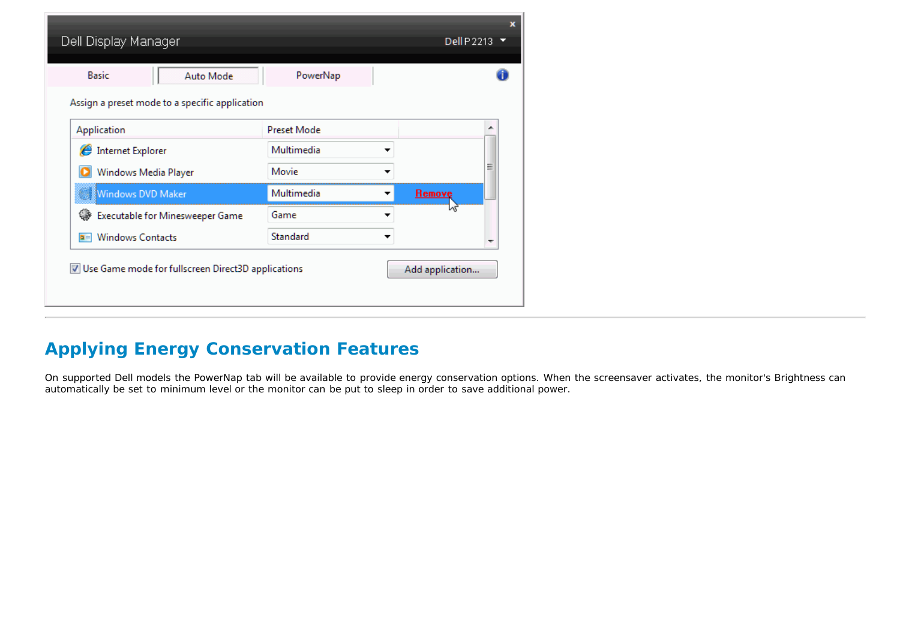| <b>Basic</b><br>Auto Mode                      | PowerNap           |        |   |
|------------------------------------------------|--------------------|--------|---|
| Assign a preset mode to a specific application |                    |        |   |
| Application                                    | <b>Preset Mode</b> |        | ∸ |
| ê<br><b>Internet Explorer</b>                  | Multimedia         | ▼      |   |
| Windows Media Player                           | Movie              | ▼      | Ξ |
| Windows DVD Maker                              | Multimedia         | Remove |   |
| ങ<br>Executable for Minesweeper Game           | Game               |        |   |
| <b>Windows Contacts</b><br>$\blacksquare$      | Standard           | ▼      | ٠ |

## **Applying Energy Conservation Features**

On supported Dell models the PowerNap tab will be available to provide energy conservation options. When the screensaver activates, the monitor's Brightness can automatically be set to minimum level or the monitor can be put to sleep in order to save additional power.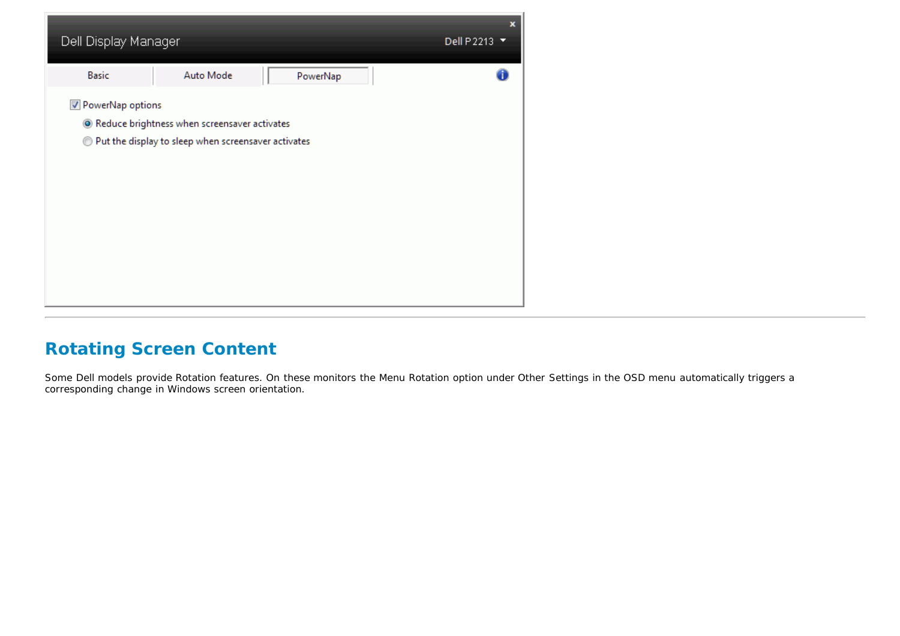

### **Rotating Screen Content**

Some Dell models provide Rotation features. On these monitors the Menu Rotation option under Other Settings in the OSD menu automatically triggers a corresponding change in Windows screen orientation.